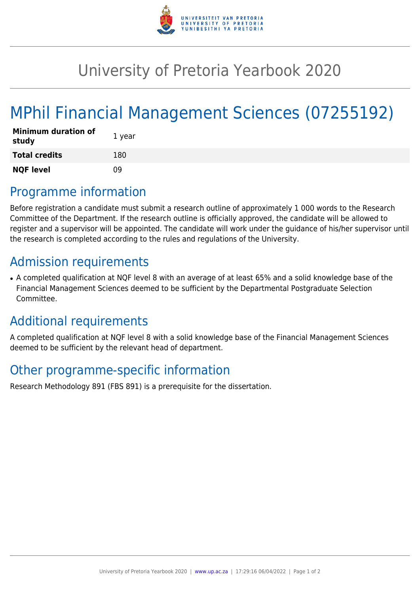

## University of Pretoria Yearbook 2020

# MPhil Financial Management Sciences (07255192)

| <b>Minimum duration of</b><br>study | 1 year |
|-------------------------------------|--------|
| <b>Total credits</b>                | 180    |
| <b>NQF level</b>                    | n۹     |

### Programme information

Before registration a candidate must submit a research outline of approximately 1 000 words to the Research Committee of the Department. If the research outline is officially approved, the candidate will be allowed to register and a supervisor will be appointed. The candidate will work under the guidance of his/her supervisor until the research is completed according to the rules and regulations of the University.

### Admission requirements

• A completed qualification at NQF level 8 with an average of at least 65% and a solid knowledge base of the Financial Management Sciences deemed to be sufficient by the Departmental Postgraduate Selection Committee.

### Additional requirements

A completed qualification at NQF level 8 with a solid knowledge base of the Financial Management Sciences deemed to be sufficient by the relevant head of department.

### Other programme-specific information

Research Methodology 891 (FBS 891) is a prerequisite for the dissertation.